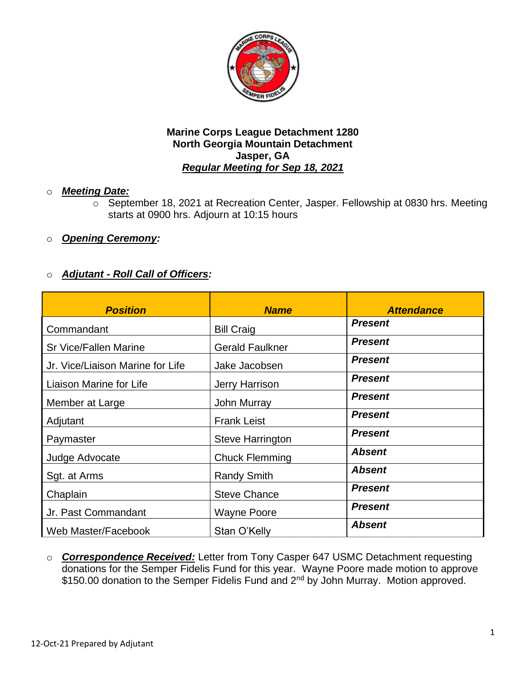

### o *Meeting Date:*

- o September 18, 2021 at Recreation Center, Jasper. Fellowship at 0830 hrs. Meeting starts at 0900 hrs. Adjourn at 10:15 hours
- o *Opening Ceremony:*

## o *Adjutant - Roll Call of Officers:*

| <b>Position</b>                  | <b>Name</b>             | <b>Attendance</b> |
|----------------------------------|-------------------------|-------------------|
| Commandant                       | <b>Bill Craig</b>       | <b>Present</b>    |
| <b>Sr Vice/Fallen Marine</b>     | <b>Gerald Faulkner</b>  | <b>Present</b>    |
| Jr. Vice/Liaison Marine for Life | Jake Jacobsen           | <b>Present</b>    |
| Liaison Marine for Life          | Jerry Harrison          | <b>Present</b>    |
| Member at Large                  | <b>John Murray</b>      | <b>Present</b>    |
| Adjutant                         | <b>Frank Leist</b>      | <b>Present</b>    |
| Paymaster                        | <b>Steve Harrington</b> | <b>Present</b>    |
| Judge Advocate                   | <b>Chuck Flemming</b>   | <b>Absent</b>     |
| Sgt. at Arms                     | <b>Randy Smith</b>      | <b>Absent</b>     |
| Chaplain                         | <b>Steve Chance</b>     | <b>Present</b>    |
| Jr. Past Commandant              | <b>Wayne Poore</b>      | <b>Present</b>    |
| Web Master/Facebook              | Stan O'Kelly            | <b>Absent</b>     |

o *Correspondence Received:* Letter from Tony Casper 647 USMC Detachment requesting donations for the Semper Fidelis Fund for this year. Wayne Poore made motion to approve \$150.00 donation to the Semper Fidelis Fund and 2<sup>nd</sup> by John Murray. Motion approved.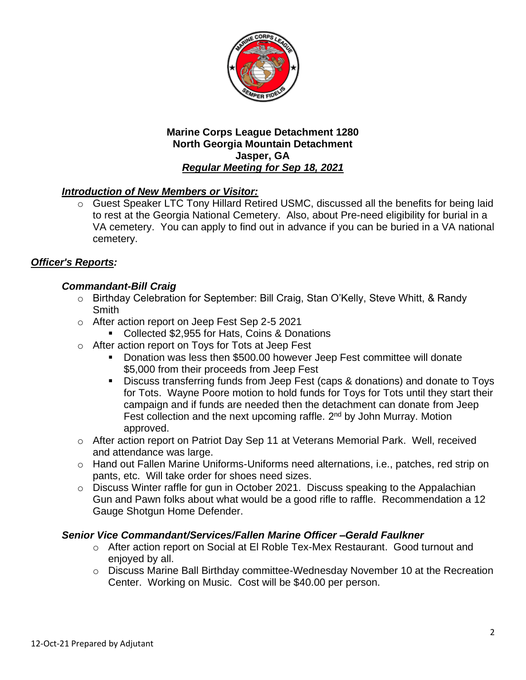

## *Introduction of New Members or Visitor:*

o Guest Speaker LTC Tony Hillard Retired USMC, discussed all the benefits for being laid to rest at the Georgia National Cemetery. Also, about Pre-need eligibility for burial in a VA cemetery. You can apply to find out in advance if you can be buried in a VA national cemetery.

# *Officer's Reports:*

## *Commandant-Bill Craig*

- o Birthday Celebration for September: Bill Craig, Stan O'Kelly, Steve Whitt, & Randy Smith
- o After action report on Jeep Fest Sep 2-5 2021
	- Collected \$2,955 for Hats, Coins & Donations
- o After action report on Toys for Tots at Jeep Fest
	- Donation was less then \$500.00 however Jeep Fest committee will donate \$5,000 from their proceeds from Jeep Fest
	- Discuss transferring funds from Jeep Fest (caps & donations) and donate to Toys for Tots. Wayne Poore motion to hold funds for Toys for Tots until they start their campaign and if funds are needed then the detachment can donate from Jeep Fest collection and the next upcoming raffle.  $2<sup>nd</sup>$  by John Murray. Motion approved.
- o After action report on Patriot Day Sep 11 at Veterans Memorial Park. Well, received and attendance was large.
- o Hand out Fallen Marine Uniforms-Uniforms need alternations, i.e., patches, red strip on pants, etc. Will take order for shoes need sizes.
- o Discuss Winter raffle for gun in October 2021. Discuss speaking to the Appalachian Gun and Pawn folks about what would be a good rifle to raffle. Recommendation a 12 Gauge Shotgun Home Defender.

## *Senior Vice Commandant/Services/Fallen Marine Officer –Gerald Faulkner*

- o After action report on Social at El Roble Tex-Mex Restaurant. Good turnout and enjoyed by all.
- o Discuss Marine Ball Birthday committee-Wednesday November 10 at the Recreation Center. Working on Music. Cost will be \$40.00 per person.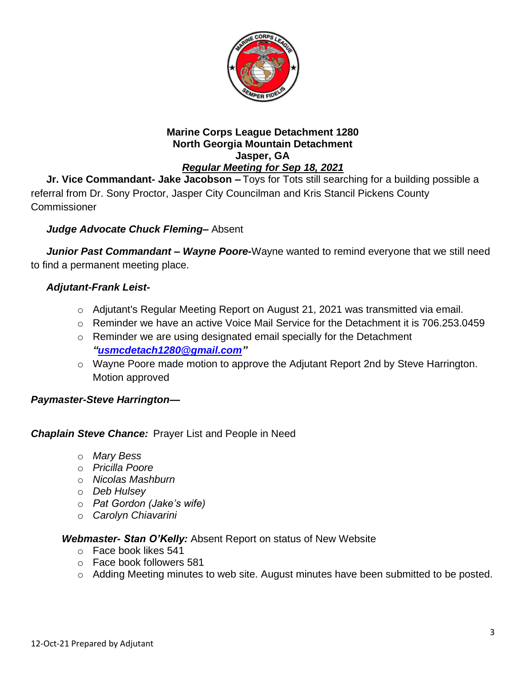

**Jr. Vice Commandant- Jake Jacobson –** Toys for Tots still searching for a building possible a referral from Dr. Sony Proctor, Jasper City Councilman and Kris Stancil Pickens County **Commissioner** 

# *Judge Advocate Chuck Fleming–* Absent

*Junior Past Commandant – Wayne Poore-*Wayne wanted to remind everyone that we still need to find a permanent meeting place.

## *Adjutant-Frank Leist-*

- o Adjutant's Regular Meeting Report on August 21, 2021 was transmitted via email.
- $\circ$  Reminder we have an active Voice Mail Service for the Detachment it is 706.253.0459
- o Reminder we are using designated email specially for the Detachment *["usmcdetach1280@gmail.com"](file:///C:/Users/Frank/Documents/USMC%20Det%20Jasper/Minutes/usmcdetach1280@gmail.com)*
- o Wayne Poore made motion to approve the Adjutant Report 2nd by Steve Harrington. Motion approved

### *Paymaster-Steve Harrington—*

## *Chaplain Steve Chance:* Prayer List and People in Need

- o *Mary Bess*
- o *Pricilla Poore*
- o *Nicolas Mashburn*
- o *Deb Hulsey*
- o *Pat Gordon (Jake's wife)*
- o *Carolyn Chiavarini*

### *Webmaster- Stan O'Kelly:* Absent Report on status of New Website

- o Face book likes 541
- o Face book followers 581
- o Adding Meeting minutes to web site. August minutes have been submitted to be posted.